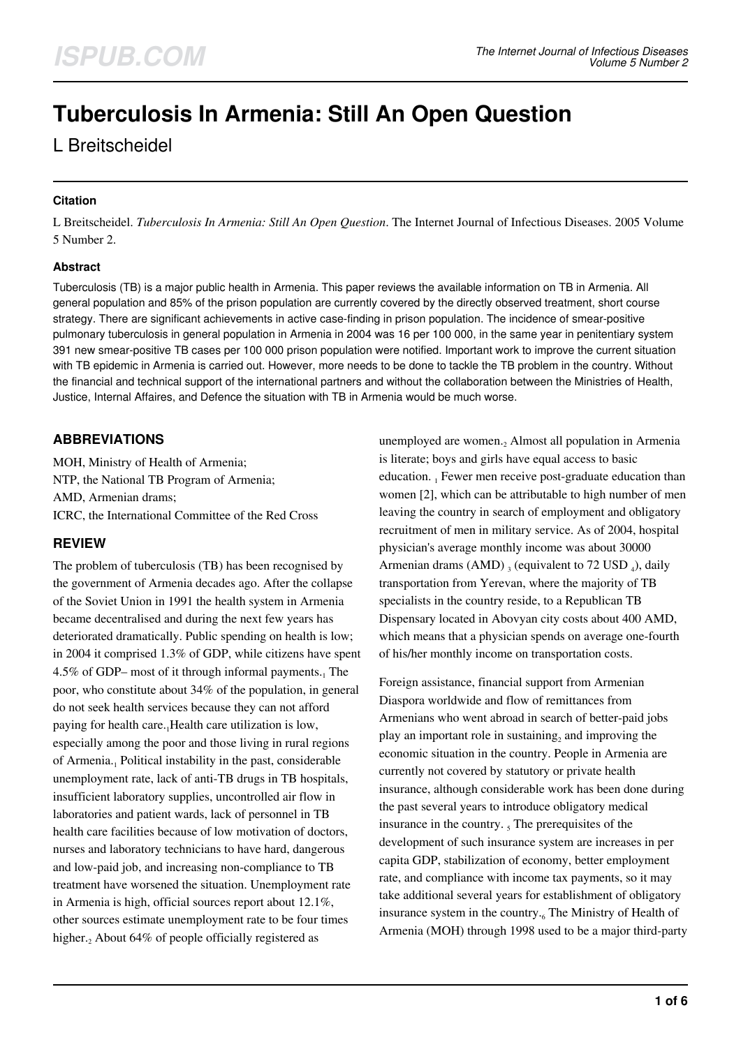# **Tuberculosis In Armenia: Still An Open Question**

# L Breitscheidel

#### **Citation**

L Breitscheidel. *Tuberculosis In Armenia: Still An Open Question*. The Internet Journal of Infectious Diseases. 2005 Volume 5 Number 2.

#### **Abstract**

Tuberculosis (TB) is a major public health in Armenia. This paper reviews the available information on TB in Armenia. All general population and 85% of the prison population are currently covered by the directly observed treatment, short course strategy. There are significant achievements in active case-finding in prison population. The incidence of smear-positive pulmonary tuberculosis in general population in Armenia in 2004 was 16 per 100 000, in the same year in penitentiary system 391 new smear-positive TB cases per 100 000 prison population were notified. Important work to improve the current situation with TB epidemic in Armenia is carried out. However, more needs to be done to tackle the TB problem in the country. Without the financial and technical support of the international partners and without the collaboration between the Ministries of Health, Justice, Internal Affaires, and Defence the situation with TB in Armenia would be much worse.

# **ABBREVIATIONS**

MOH, Ministry of Health of Armenia; NTP, the National TB Program of Armenia; AMD, Armenian drams; ICRC, the International Committee of the Red Cross

# **REVIEW**

The problem of tuberculosis (TB) has been recognised by the government of Armenia decades ago. After the collapse of the Soviet Union in 1991 the health system in Armenia became decentralised and during the next few years has deteriorated dramatically. Public spending on health is low; in 2004 it comprised 1.3% of GDP, while citizens have spent 4.5% of GDP– most of it through informal payments. $<sub>1</sub>$  The</sub> poor, who constitute about 34% of the population, in general do not seek health services because they can not afford paying for health care.<sub>1</sub>Health care utilization is low, especially among the poor and those living in rural regions of Armenia.<sub>1</sub> Political instability in the past, considerable unemployment rate, lack of anti-TB drugs in TB hospitals, insufficient laboratory supplies, uncontrolled air flow in laboratories and patient wards, lack of personnel in TB health care facilities because of low motivation of doctors, nurses and laboratory technicians to have hard, dangerous and low-paid job, and increasing non-compliance to TB treatment have worsened the situation. Unemployment rate in Armenia is high, official sources report about 12.1%, other sources estimate unemployment rate to be four times higher.<sub>2</sub> About 64% of people officially registered as

unemployed are women.<sub>2</sub> Almost all population in Armenia is literate; boys and girls have equal access to basic education. 1 Fewer men receive post-graduate education than women [2], which can be attributable to high number of men leaving the country in search of employment and obligatory recruitment of men in military service. As of 2004, hospital physician's average monthly income was about 30000 Armenian drams (AMD)  $_3$  (equivalent to 72 USD  $_4$ ), daily transportation from Yerevan, where the majority of TB specialists in the country reside, to a Republican TB Dispensary located in Abovyan city costs about 400 AMD, which means that a physician spends on average one-fourth of his/her monthly income on transportation costs.

Foreign assistance, financial support from Armenian Diaspora worldwide and flow of remittances from Armenians who went abroad in search of better-paid jobs play an important role in sustaining<sub>2</sub> and improving the economic situation in the country. People in Armenia are currently not covered by statutory or private health insurance, although considerable work has been done during the past several years to introduce obligatory medical insurance in the country.  $<sub>5</sub>$  The prerequisites of the</sub> development of such insurance system are increases in per capita GDP, stabilization of economy, better employment rate, and compliance with income tax payments, so it may take additional several years for establishment of obligatory insurance system in the country.<sub>6</sub> The Ministry of Health of Armenia (MOH) through 1998 used to be a major third-party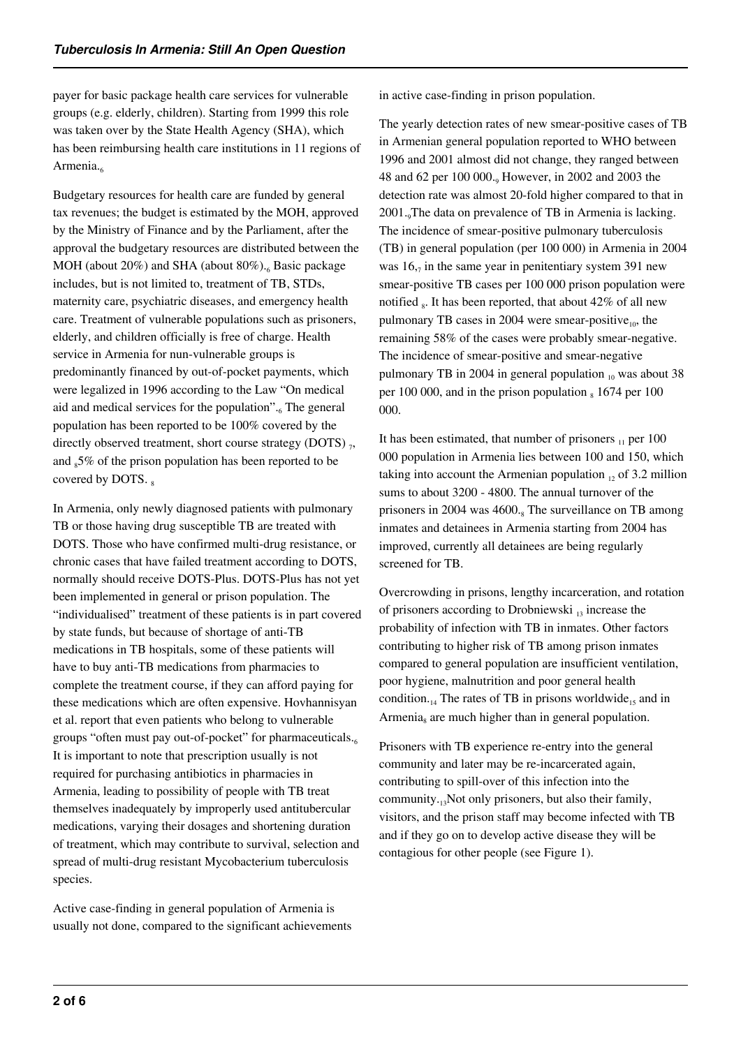payer for basic package health care services for vulnerable groups (e.g. elderly, children). Starting from 1999 this role was taken over by the State Health Agency (SHA), which has been reimbursing health care institutions in 11 regions of Armenia.

Budgetary resources for health care are funded by general tax revenues; the budget is estimated by the MOH, approved by the Ministry of Finance and by the Parliament, after the approval the budgetary resources are distributed between the MOH (about 20%) and SHA (about 80%).<sub>6</sub> Basic package includes, but is not limited to, treatment of TB, STDs, maternity care, psychiatric diseases, and emergency health care. Treatment of vulnerable populations such as prisoners, elderly, and children officially is free of charge. Health service in Armenia for nun-vulnerable groups is predominantly financed by out-of-pocket payments, which were legalized in 1996 according to the Law "On medical aid and medical services for the population".<sub>6</sub> The general population has been reported to be 100% covered by the directly observed treatment, short course strategy (DOTS)  $_7$ , and  $s5\%$  of the prison population has been reported to be covered by DOTS.  $_8$ 

In Armenia, only newly diagnosed patients with pulmonary TB or those having drug susceptible TB are treated with DOTS. Those who have confirmed multi-drug resistance, or chronic cases that have failed treatment according to DOTS, normally should receive DOTS-Plus. DOTS-Plus has not yet been implemented in general or prison population. The "individualised" treatment of these patients is in part covered by state funds, but because of shortage of anti-TB medications in TB hospitals, some of these patients will have to buy anti-TB medications from pharmacies to complete the treatment course, if they can afford paying for these medications which are often expensive. Hovhannisyan et al. report that even patients who belong to vulnerable groups "often must pay out-of-pocket" for pharmaceuticals. $6.6$ It is important to note that prescription usually is not required for purchasing antibiotics in pharmacies in Armenia, leading to possibility of people with TB treat themselves inadequately by improperly used antitubercular medications, varying their dosages and shortening duration of treatment, which may contribute to survival, selection and spread of multi-drug resistant Mycobacterium tuberculosis species.

Active case-finding in general population of Armenia is usually not done, compared to the significant achievements in active case-finding in prison population.

The yearly detection rates of new smear-positive cases of TB in Armenian general population reported to WHO between 1996 and 2001 almost did not change, they ranged between 48 and 62 per 100 000.<sup>9</sup> However, in 2002 and 2003 the detection rate was almost 20-fold higher compared to that in 2001. The data on prevalence of TB in Armenia is lacking. The incidence of smear-positive pulmonary tuberculosis (TB) in general population (per 100 000) in Armenia in 2004 was  $16<sub>7</sub>$  in the same year in penitentiary system 391 new smear-positive TB cases per 100 000 prison population were notified  $_8$ . It has been reported, that about 42% of all new pulmonary TB cases in 2004 were smear-positive $_{10}$ , the remaining 58% of the cases were probably smear-negative. The incidence of smear-positive and smear-negative pulmonary TB in 2004 in general population  $_{10}$  was about 38 per 100 000, and in the prison population  $_8$  1674 per 100 000.

It has been estimated, that number of prisoners  $_{11}$  per 100 000 population in Armenia lies between 100 and 150, which taking into account the Armenian population  $_{12}$  of 3.2 million sums to about 3200 - 4800. The annual turnover of the prisoners in 2004 was 4600.<sub>8</sub> The surveillance on TB among inmates and detainees in Armenia starting from 2004 has improved, currently all detainees are being regularly screened for TB.

Overcrowding in prisons, lengthy incarceration, and rotation of prisoners according to Drobniewski  $_{13}$  increase the probability of infection with TB in inmates. Other factors contributing to higher risk of TB among prison inmates compared to general population are insufficient ventilation, poor hygiene, malnutrition and poor general health condition.<sub>14</sub> The rates of TB in prisons worldwide<sub>15</sub> and in Armenia<sub>s</sub> are much higher than in general population.

Prisoners with TB experience re-entry into the general community and later may be re-incarcerated again, contributing to spill-over of this infection into the community. $_{13}$ Not only prisoners, but also their family, visitors, and the prison staff may become infected with TB and if they go on to develop active disease they will be contagious for other people (see Figure 1).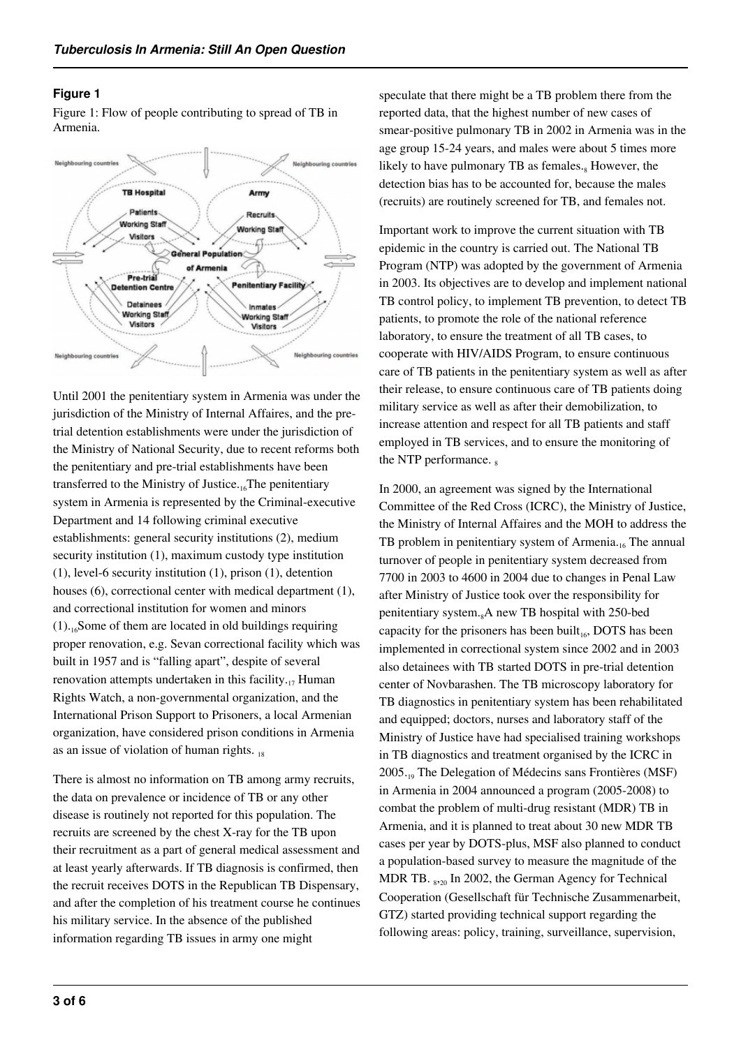#### **Figure 1**

Figure 1: Flow of people contributing to spread of TB in Armenia.



Until 2001 the penitentiary system in Armenia was under the jurisdiction of the Ministry of Internal Affaires, and the pretrial detention establishments were under the jurisdiction of the Ministry of National Security, due to recent reforms both the penitentiary and pre-trial establishments have been transferred to the Ministry of Justice. $16$ The penitentiary system in Armenia is represented by the Criminal-executive Department and 14 following criminal executive establishments: general security institutions (2), medium security institution (1), maximum custody type institution (1), level-6 security institution (1), prison (1), detention houses (6), correctional center with medical department (1), and correctional institution for women and minors  $(1)$ .<sub>16</sub>Some of them are located in old buildings requiring proper renovation, e.g. Sevan correctional facility which was built in 1957 and is "falling apart", despite of several renovation attempts undertaken in this facility. $_{17}$  Human Rights Watch, a non-governmental organization, and the International Prison Support to Prisoners, a local Armenian organization, have considered prison conditions in Armenia as an issue of violation of human rights.  $_{18}$ 

There is almost no information on TB among army recruits, the data on prevalence or incidence of TB or any other disease is routinely not reported for this population. The recruits are screened by the chest X-ray for the TB upon their recruitment as a part of general medical assessment and at least yearly afterwards. If TB diagnosis is confirmed, then the recruit receives DOTS in the Republican TB Dispensary, and after the completion of his treatment course he continues his military service. In the absence of the published information regarding TB issues in army one might

speculate that there might be a TB problem there from the reported data, that the highest number of new cases of smear-positive pulmonary TB in 2002 in Armenia was in the age group 15-24 years, and males were about 5 times more likely to have pulmonary TB as females.<sub>8</sub> However, the detection bias has to be accounted for, because the males (recruits) are routinely screened for TB, and females not.

Important work to improve the current situation with TB epidemic in the country is carried out. The National TB Program (NTP) was adopted by the government of Armenia in 2003. Its objectives are to develop and implement national TB control policy, to implement TB prevention, to detect TB patients, to promote the role of the national reference laboratory, to ensure the treatment of all TB cases, to cooperate with HIV/AIDS Program, to ensure continuous care of TB patients in the penitentiary system as well as after their release, to ensure continuous care of TB patients doing military service as well as after their demobilization, to increase attention and respect for all TB patients and staff employed in TB services, and to ensure the monitoring of the NTP performance.  $\frac{1}{8}$ 

In 2000, an agreement was signed by the International Committee of the Red Cross (ICRC), the Ministry of Justice, the Ministry of Internal Affaires and the MOH to address the TB problem in penitentiary system of Armenia.<sub>16</sub> The annual turnover of people in penitentiary system decreased from 7700 in 2003 to 4600 in 2004 due to changes in Penal Law after Ministry of Justice took over the responsibility for penitentiary system. $_{8}A$  new TB hospital with 250-bed capacity for the prisoners has been built<sub>16</sub>, DOTS has been implemented in correctional system since 2002 and in 2003 also detainees with TB started DOTS in pre-trial detention center of Novbarashen. The TB microscopy laboratory for TB diagnostics in penitentiary system has been rehabilitated and equipped; doctors, nurses and laboratory staff of the Ministry of Justice have had specialised training workshops in TB diagnostics and treatment organised by the ICRC in 2005.19 The Delegation of Médecins sans Frontières (MSF) in Armenia in 2004 announced a program (2005-2008) to combat the problem of multi-drug resistant (MDR) TB in Armenia, and it is planned to treat about 30 new MDR TB cases per year by DOTS-plus, MSF also planned to conduct a population-based survey to measure the magnitude of the MDR TB.  $_{8,20}$  In 2002, the German Agency for Technical Cooperation (Gesellschaft für Technische Zusammenarbeit, GTZ) started providing technical support regarding the following areas: policy, training, surveillance, supervision,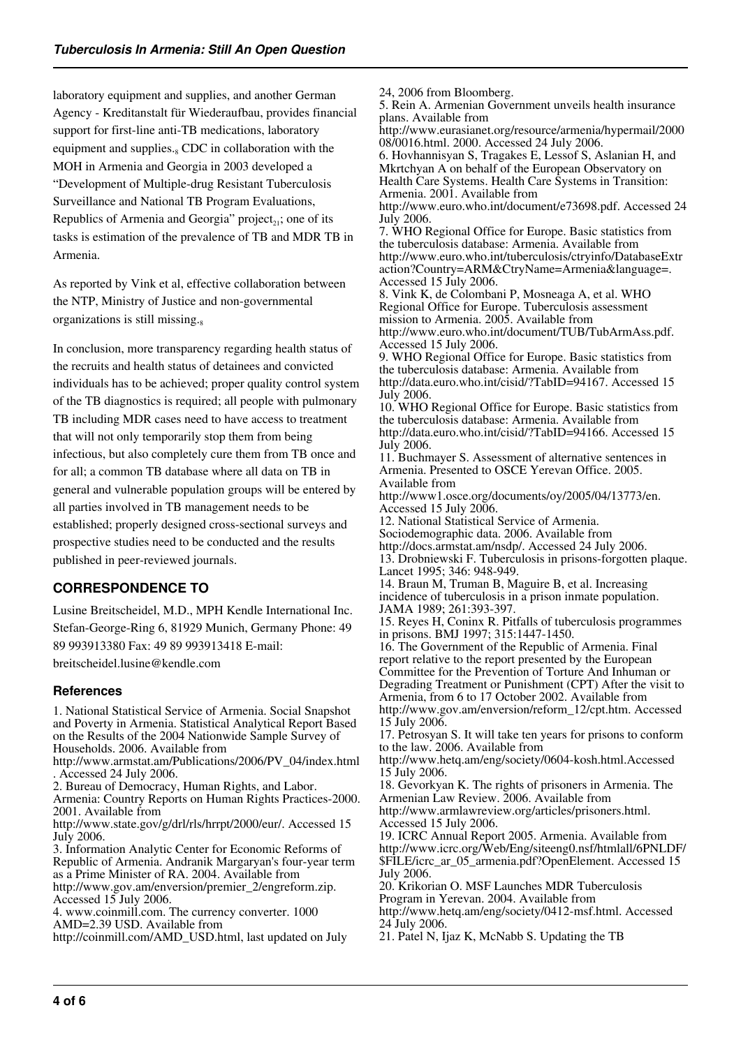laboratory equipment and supplies, and another German Agency - Kreditanstalt für Wiederaufbau, provides financial support for first-line anti-TB medications, laboratory equipment and supplies.<sub>8</sub> CDC in collaboration with the MOH in Armenia and Georgia in 2003 developed a "Development of Multiple-drug Resistant Tuberculosis Surveillance and National TB Program Evaluations, Republics of Armenia and Georgia" project<sub>21</sub>; one of its tasks is estimation of the prevalence of TB and MDR TB in Armenia.

As reported by Vink et al, effective collaboration between the NTP, Ministry of Justice and non-governmental organizations is still missing. $s$ 

In conclusion, more transparency regarding health status of the recruits and health status of detainees and convicted individuals has to be achieved; proper quality control system of the TB diagnostics is required; all people with pulmonary TB including MDR cases need to have access to treatment that will not only temporarily stop them from being infectious, but also completely cure them from TB once and for all; a common TB database where all data on TB in general and vulnerable population groups will be entered by all parties involved in TB management needs to be established; properly designed cross-sectional surveys and prospective studies need to be conducted and the results published in peer-reviewed journals.

# **CORRESPONDENCE TO**

Lusine Breitscheidel, M.D., MPH Kendle International Inc. Stefan-George-Ring 6, 81929 Munich, Germany Phone: 49 89 993913380 Fax: 49 89 993913418 E-mail:

breitscheidel.lusine@kendle.com

#### **References**

1. National Statistical Service of Armenia. Social Snapshot and Poverty in Armenia. Statistical Analytical Report Based on the Results of the 2004 Nationwide Sample Survey of Households. 2006. Available from

http://www.armstat.am/Publications/2006/PV\_04/index.html . Accessed 24 July 2006.

2. Bureau of Democracy, Human Rights, and Labor.

Armenia: Country Reports on Human Rights Practices-2000. 2001. Available from

http://www.state.gov/g/drl/rls/hrrpt/2000/eur/. Accessed 15 July 2006.

3. Information Analytic Center for Economic Reforms of Republic of Armenia. Andranik Margaryan's four-year term as a Prime Minister of RA. 2004. Available from

http://www.gov.am/enversion/premier\_2/engreform.zip. Accessed 15 July 2006.

4. www.coinmill.com. The currency converter. 1000 AMD=2.39 USD. Available from

http://coinmill.com/AMD\_USD.html, last updated on July

24, 2006 from Bloomberg. 5. Rein A. Armenian Government unveils health insurance plans. Available from http://www.eurasianet.org/resource/armenia/hypermail/2000 08/0016.html. 2000. Accessed 24 July 2006. 6. Hovhannisyan S, Tragakes E, Lessof S, Aslanian H, and Mkrtchyan A on behalf of the European Observatory on Health Care Systems. Health Care Systems in Transition: Armenia. 2001. Available from http://www.euro.who.int/document/e73698.pdf. Accessed 24 July 2006. 7. WHO Regional Office for Europe. Basic statistics from the tuberculosis database: Armenia. Available from http://www.euro.who.int/tuberculosis/ctryinfo/DatabaseExtr action?Country=ARM&CtryName=Armenia&language=. Accessed 15 July 2006. 8. Vink K, de Colombani P, Mosneaga A, et al. WHO Regional Office for Europe. Tuberculosis assessment mission to Armenia. 2005. Available from http://www.euro.who.int/document/TUB/TubArmAss.pdf. Accessed 15 July 2006. 9. WHO Regional Office for Europe. Basic statistics from the tuberculosis database: Armenia. Available from http://data.euro.who.int/cisid/?TabID=94167. Accessed 15 July 2006. 10. WHO Regional Office for Europe. Basic statistics from the tuberculosis database: Armenia. Available from http://data.euro.who.int/cisid/?TabID=94166. Accessed 15 July 2006. 11. Buchmayer S. Assessment of alternative sentences in Armenia. Presented to OSCE Yerevan Office. 2005. Available from http://www1.osce.org/documents/oy/2005/04/13773/en. Accessed 15 July 2006. 12. National Statistical Service of Armenia. Sociodemographic data. 2006. Available from http://docs.armstat.am/nsdp/. Accessed 24 July 2006. 13. Drobniewski F. Tuberculosis in prisons-forgotten plaque. Lancet 1995; 346: 948-949. 14. Braun M, Truman B, Maguire B, et al. Increasing incidence of tuberculosis in a prison inmate population. JAMA 1989; 261:393-397. 15. Reyes H, Coninx R. Pitfalls of tuberculosis programmes in prisons. BMJ 1997; 315:1447-1450. 16. The Government of the Republic of Armenia. Final report relative to the report presented by the European Committee for the Prevention of Torture And Inhuman or Degrading Treatment or Punishment (CPT) After the visit to Armenia, from 6 to 17 October 2002. Available from http://www.gov.am/enversion/reform\_12/cpt.htm. Accessed 15 July 2006. 17. Petrosyan S. It will take ten years for prisons to conform to the law. 2006. Available from http://www.hetq.am/eng/society/0604-kosh.html.Accessed 15 July 2006. 18. Gevorkyan K. The rights of prisoners in Armenia. The Armenian Law Review. 2006. Available from http://www.armlawreview.org/articles/prisoners.html. Accessed 15 July 2006. 19. ICRC Annual Report 2005. Armenia. Available from http://www.icrc.org/Web/Eng/siteeng0.nsf/htmlall/6PNLDF/ \$FILE/icrc\_ar\_05\_armenia.pdf?OpenElement. Accessed 15 July 2006. 20. Krikorian O. MSF Launches MDR Tuberculosis Program in Yerevan. 2004. Available from http://www.hetq.am/eng/society/0412-msf.html. Accessed

24 July 2006.

21. Patel N, Ijaz K, McNabb S. Updating the TB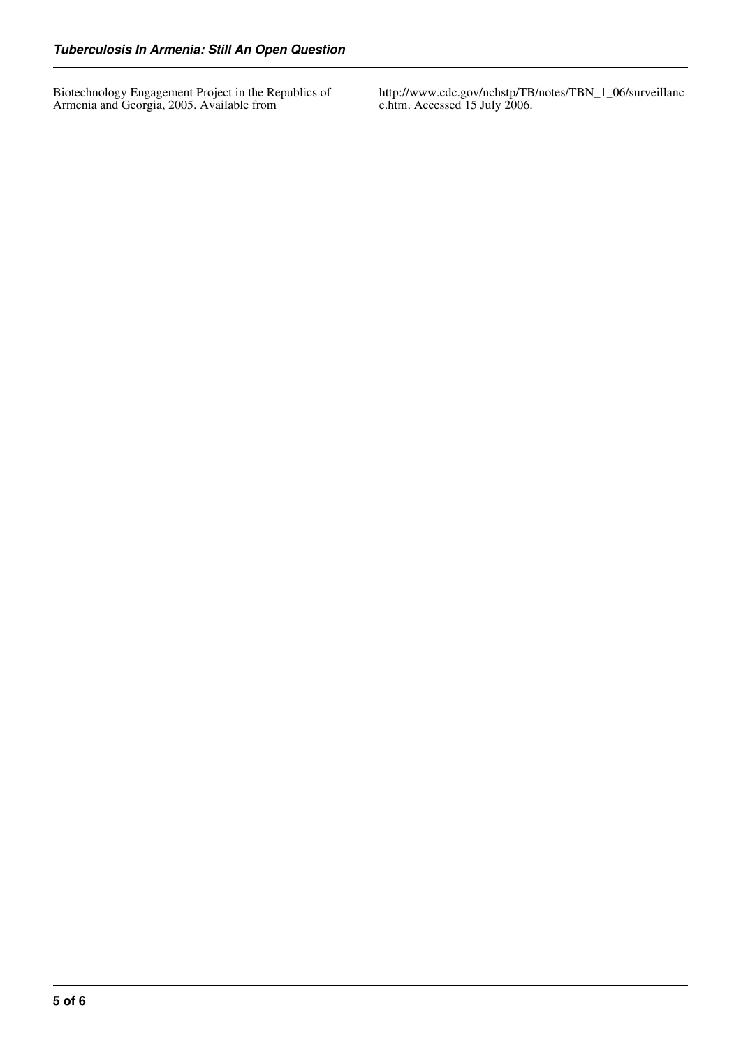Biotechnology Engagement Project in the Republics of Armenia and Georgia, 2005. Available from

http://www.cdc.gov/nchstp/TB/notes/TBN\_1\_06/surveillanc e.htm. Accessed 15 July 2006.